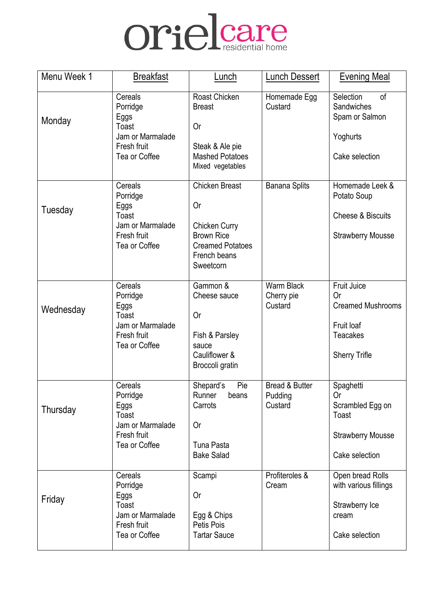

| Menu Week 1 | <b>Breakfast</b>                                                                         | Lunch                                                                                                                            | <b>Lunch Dessert</b>                            | <b>Evening Meal</b>                                                                                                  |
|-------------|------------------------------------------------------------------------------------------|----------------------------------------------------------------------------------------------------------------------------------|-------------------------------------------------|----------------------------------------------------------------------------------------------------------------------|
| Monday      | Cereals<br>Porridge<br>Eggs<br>Toast<br>Jam or Marmalade<br>Fresh fruit<br>Tea or Coffee | Roast Chicken<br><b>Breast</b><br><b>Or</b><br>Steak & Ale pie<br><b>Mashed Potatoes</b><br>Mixed vegetables                     | Homemade Egg<br>Custard                         | Selection<br>of<br>Sandwiches<br>Spam or Salmon<br>Yoghurts<br>Cake selection                                        |
| Tuesday     | Cereals<br>Porridge<br>Eggs<br>Toast<br>Jam or Marmalade<br>Fresh fruit<br>Tea or Coffee | <b>Chicken Breast</b><br>0r<br><b>Chicken Curry</b><br><b>Brown Rice</b><br><b>Creamed Potatoes</b><br>French beans<br>Sweetcorn | <b>Banana Splits</b>                            | Homemade Leek &<br>Potato Soup<br><b>Cheese &amp; Biscuits</b><br><b>Strawberry Mousse</b>                           |
| Wednesday   | Cereals<br>Porridge<br>Eggs<br>Toast<br>Jam or Marmalade<br>Fresh fruit<br>Tea or Coffee | Gammon &<br>Cheese sauce<br>0r<br>Fish & Parsley<br>sauce<br>Cauliflower &<br>Broccoli gratin                                    | Warm Black<br>Cherry pie<br>Custard             | <b>Fruit Juice</b><br><b>Or</b><br><b>Creamed Mushrooms</b><br>Fruit loaf<br><b>Teacakes</b><br><b>Sherry Trifle</b> |
| Thursday    | Cereals<br>Porridge<br>Eggs<br>Toast<br>Jam or Marmalade<br>Fresh fruit<br>Tea or Coffee | Shepard's<br>Pie<br>Runner<br>beans<br>Carrots<br>0r<br>Tuna Pasta<br><b>Bake Salad</b>                                          | <b>Bread &amp; Butter</b><br>Pudding<br>Custard | Spaghetti<br>0r<br>Scrambled Egg on<br>Toast<br><b>Strawberry Mousse</b><br>Cake selection                           |
| Friday      | Cereals<br>Porridge<br>Eggs<br>Toast<br>Jam or Marmalade<br>Fresh fruit<br>Tea or Coffee | Scampi<br>0r<br>Egg & Chips<br>Petis Pois<br><b>Tartar Sauce</b>                                                                 | Profiteroles &<br>Cream                         | Open bread Rolls<br>with various fillings<br>Strawberry Ice<br>cream<br>Cake selection                               |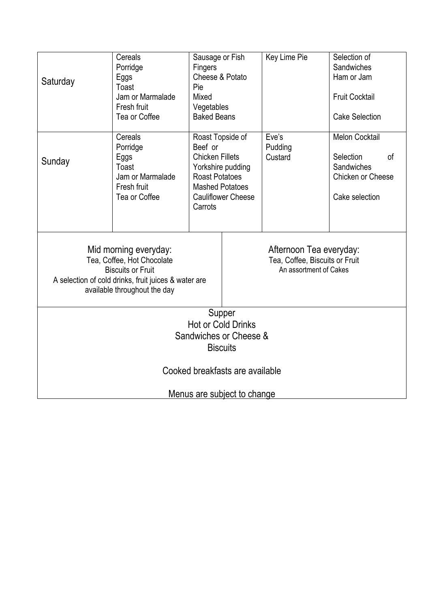| Saturday                                                                                                                                                                | Cereals<br>Porridge<br>Eggs<br>Toast<br>Jam or Marmalade<br>Fresh fruit<br>Tea or Coffee | Sausage or Fish<br>Fingers<br>Cheese & Potato<br>Pie<br>Mixed<br>Vegetables<br><b>Baked Beans</b>                                                                     |  | Key Lime Pie                                                                        | Selection of<br>Sandwiches<br>Ham or Jam<br><b>Fruit Cocktail</b><br><b>Cake Selection</b>               |  |
|-------------------------------------------------------------------------------------------------------------------------------------------------------------------------|------------------------------------------------------------------------------------------|-----------------------------------------------------------------------------------------------------------------------------------------------------------------------|--|-------------------------------------------------------------------------------------|----------------------------------------------------------------------------------------------------------|--|
| Sunday                                                                                                                                                                  | Cereals<br>Porridge<br>Eggs<br>Toast<br>Jam or Marmalade<br>Fresh fruit<br>Tea or Coffee | Roast Topside of<br>Beef or<br><b>Chicken Fillets</b><br>Yorkshire pudding<br><b>Roast Potatoes</b><br><b>Mashed Potatoes</b><br><b>Cauliflower Cheese</b><br>Carrots |  | Eve's<br>Pudding<br>Custard                                                         | <b>Melon Cocktail</b><br>Selection<br><sub>of</sub><br>Sandwiches<br>Chicken or Cheese<br>Cake selection |  |
| Mid morning everyday:<br>Tea, Coffee, Hot Chocolate<br><b>Biscuits or Fruit</b><br>A selection of cold drinks, fruit juices & water are<br>available throughout the day |                                                                                          |                                                                                                                                                                       |  | Afternoon Tea everyday:<br>Tea, Coffee, Biscuits or Fruit<br>An assortment of Cakes |                                                                                                          |  |
|                                                                                                                                                                         | Supper<br><b>Hot or Cold Drinks</b>                                                      |                                                                                                                                                                       |  |                                                                                     |                                                                                                          |  |
| Sandwiches or Cheese &                                                                                                                                                  |                                                                                          |                                                                                                                                                                       |  |                                                                                     |                                                                                                          |  |
| <b>Biscuits</b>                                                                                                                                                         |                                                                                          |                                                                                                                                                                       |  |                                                                                     |                                                                                                          |  |
| Cooked breakfasts are available                                                                                                                                         |                                                                                          |                                                                                                                                                                       |  |                                                                                     |                                                                                                          |  |
| Menus are subject to change                                                                                                                                             |                                                                                          |                                                                                                                                                                       |  |                                                                                     |                                                                                                          |  |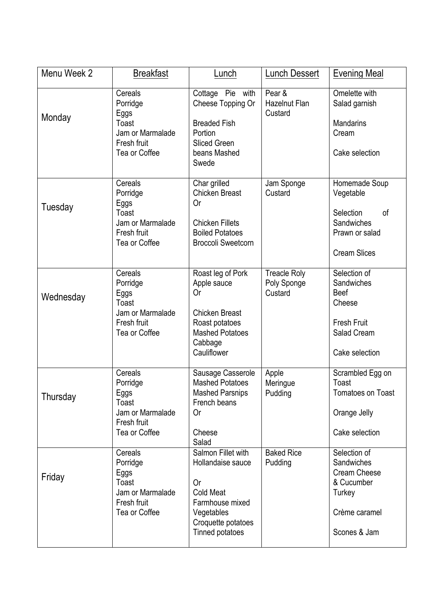| Menu Week 2 | <b>Breakfast</b>                                                                         | Lunch                                                                                                                                       | <b>Lunch Dessert</b>                          | <b>Evening Meal</b>                                                                                        |
|-------------|------------------------------------------------------------------------------------------|---------------------------------------------------------------------------------------------------------------------------------------------|-----------------------------------------------|------------------------------------------------------------------------------------------------------------|
| Monday      | Cereals<br>Porridge<br>Eggs<br>Toast<br>Jam or Marmalade<br>Fresh fruit<br>Tea or Coffee | Cottage Pie with<br>Cheese Topping Or<br><b>Breaded Fish</b><br>Portion<br><b>Sliced Green</b><br>beans Mashed<br>Swede                     | Pear &<br><b>Hazelnut Flan</b><br>Custard     | Omelette with<br>Salad garnish<br><b>Mandarins</b><br>Cream<br>Cake selection                              |
| Tuesday     | Cereals<br>Porridge<br>Eggs<br>Toast<br>Jam or Marmalade<br>Fresh fruit<br>Tea or Coffee | Char grilled<br><b>Chicken Breast</b><br>0r<br><b>Chicken Fillets</b><br><b>Boiled Potatoes</b><br><b>Broccoli Sweetcorn</b>                | Jam Sponge<br>Custard                         | Homemade Soup<br>Vegetable<br>Selection<br>of<br>Sandwiches<br>Prawn or salad<br><b>Cream Slices</b>       |
| Wednesday   | Cereals<br>Porridge<br>Eggs<br>Toast<br>Jam or Marmalade<br>Fresh fruit<br>Tea or Coffee | Roast leg of Pork<br>Apple sauce<br>0r<br><b>Chicken Breast</b><br>Roast potatoes<br><b>Mashed Potatoes</b><br>Cabbage<br>Cauliflower       | <b>Treacle Roly</b><br>Poly Sponge<br>Custard | Selection of<br>Sandwiches<br><b>Beef</b><br>Cheese<br><b>Fresh Fruit</b><br>Salad Cream<br>Cake selection |
| Thursday    | Cereals<br>Porridge<br>Eggs<br>Toast<br>Jam or Marmalade<br>Fresh fruit<br>Tea or Coffee | Sausage Casserole<br><b>Mashed Potatoes</b><br><b>Mashed Parsnips</b><br>French beans<br>0r<br>Cheese<br>Salad                              | Apple<br>Meringue<br>Pudding                  | Scrambled Egg on<br>Toast<br><b>Tomatoes on Toast</b><br>Orange Jelly<br>Cake selection                    |
| Friday      | Cereals<br>Porridge<br>Eggs<br>Toast<br>Jam or Marmalade<br>Fresh fruit<br>Tea or Coffee | Salmon Fillet with<br>Hollandaise sauce<br>0r<br><b>Cold Meat</b><br>Farmhouse mixed<br>Vegetables<br>Croquette potatoes<br>Tinned potatoes | <b>Baked Rice</b><br>Pudding                  | Selection of<br>Sandwiches<br><b>Cream Cheese</b><br>& Cucumber<br>Turkey<br>Crème caramel<br>Scones & Jam |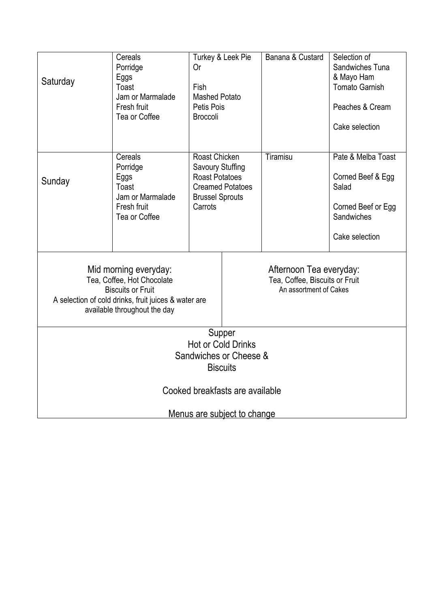| Saturday                                                                                                                                                                                                                                                       | Cereals<br>Porridge<br>Eggs<br>Toast<br>Jam or Marmalade<br>Fresh fruit<br>Tea or Coffee | Turkey & Leek Pie<br>0r<br>Fish<br><b>Mashed Potato</b><br>Petis Pois<br><b>Broccoli</b>                                          |  | Banana & Custard | Selection of<br>Sandwiches Tuna<br>& Mayo Ham<br><b>Tomato Garnish</b><br>Peaches & Cream<br>Cake selection |
|----------------------------------------------------------------------------------------------------------------------------------------------------------------------------------------------------------------------------------------------------------------|------------------------------------------------------------------------------------------|-----------------------------------------------------------------------------------------------------------------------------------|--|------------------|-------------------------------------------------------------------------------------------------------------|
| Sunday                                                                                                                                                                                                                                                         | Cereals<br>Porridge<br>Eggs<br>Toast<br>Jam or Marmalade<br>Fresh fruit<br>Tea or Coffee | Roast Chicken<br><b>Savoury Stuffing</b><br><b>Roast Potatoes</b><br><b>Creamed Potatoes</b><br><b>Brussel Sprouts</b><br>Carrots |  | Tiramisu         | Pate & Melba Toast<br>Corned Beef & Egg<br>Salad<br>Corned Beef or Egg<br>Sandwiches<br>Cake selection      |
| Mid morning everyday:<br>Afternoon Tea everyday:<br>Tea, Coffee, Hot Chocolate<br>Tea, Coffee, Biscuits or Fruit<br><b>Biscuits or Fruit</b><br>An assortment of Cakes<br>A selection of cold drinks, fruit juices & water are<br>available throughout the day |                                                                                          |                                                                                                                                   |  |                  |                                                                                                             |
| Supper<br><b>Hot or Cold Drinks</b><br>Sandwiches or Cheese &<br><b>Biscuits</b>                                                                                                                                                                               |                                                                                          |                                                                                                                                   |  |                  |                                                                                                             |
| Cooked breakfasts are available                                                                                                                                                                                                                                |                                                                                          |                                                                                                                                   |  |                  |                                                                                                             |
| Menus are subject to change                                                                                                                                                                                                                                    |                                                                                          |                                                                                                                                   |  |                  |                                                                                                             |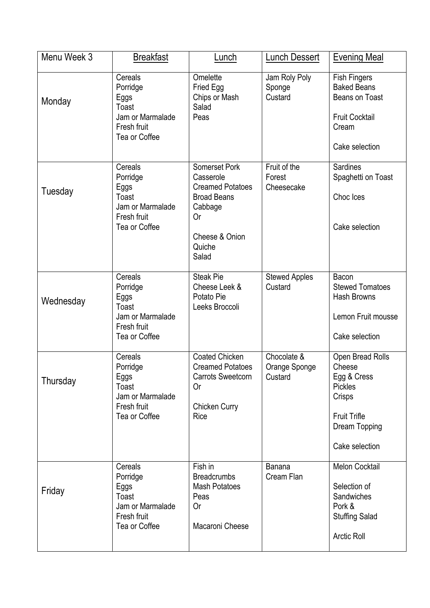| Menu Week 3 | <b>Breakfast</b>                                                                         | Lunch                                                                                                                             | <b>Lunch Dessert</b>                    | <b>Evening Meal</b>                                                                                                             |
|-------------|------------------------------------------------------------------------------------------|-----------------------------------------------------------------------------------------------------------------------------------|-----------------------------------------|---------------------------------------------------------------------------------------------------------------------------------|
| Monday      | Cereals<br>Porridge<br>Eggs<br>Toast<br>Jam or Marmalade<br>Fresh fruit<br>Tea or Coffee | Omelette<br>Fried Egg<br>Chips or Mash<br>Salad<br>Peas                                                                           | Jam Roly Poly<br>Sponge<br>Custard      | <b>Fish Fingers</b><br><b>Baked Beans</b><br><b>Beans on Toast</b><br><b>Fruit Cocktail</b><br>Cream<br>Cake selection          |
| Tuesday     | Cereals<br>Porridge<br>Eggs<br>Toast<br>Jam or Marmalade<br>Fresh fruit<br>Tea or Coffee | Somerset Pork<br>Casserole<br><b>Creamed Potatoes</b><br><b>Broad Beans</b><br>Cabbage<br>0r<br>Cheese & Onion<br>Quiche<br>Salad | Fruit of the<br>Forest<br>Cheesecake    | <b>Sardines</b><br>Spaghetti on Toast<br>Choc Ices<br>Cake selection                                                            |
| Wednesday   | Cereals<br>Porridge<br>Eggs<br>Toast<br>Jam or Marmalade<br>Fresh fruit<br>Tea or Coffee | <b>Steak Pie</b><br>Cheese Leek &<br>Potato Pie<br>Leeks Broccoli                                                                 | <b>Stewed Apples</b><br>Custard         | Bacon<br><b>Stewed Tomatoes</b><br><b>Hash Browns</b><br>Lemon Fruit mousse<br>Cake selection                                   |
| Thursday    | Cereals<br>Porridge<br>Eggs<br>Toast<br>Jam or Marmalade<br>Fresh fruit<br>Tea or Coffee | <b>Coated Chicken</b><br><b>Creamed Potatoes</b><br><b>Carrots Sweetcorn</b><br>0r<br><b>Chicken Curry</b><br>Rice                | Chocolate &<br>Orange Sponge<br>Custard | Open Bread Rolls<br>Cheese<br>Egg & Cress<br><b>Pickles</b><br>Crisps<br><b>Fruit Trifle</b><br>Dream Topping<br>Cake selection |
| Friday      | Cereals<br>Porridge<br>Eggs<br>Toast<br>Jam or Marmalade<br>Fresh fruit<br>Tea or Coffee | Fish in<br><b>Breadcrumbs</b><br><b>Mash Potatoes</b><br>Peas<br>0r<br>Macaroni Cheese                                            | <b>Banana</b><br>Cream Flan             | Melon Cocktail<br>Selection of<br>Sandwiches<br>Pork &<br><b>Stuffing Salad</b><br><b>Arctic Roll</b>                           |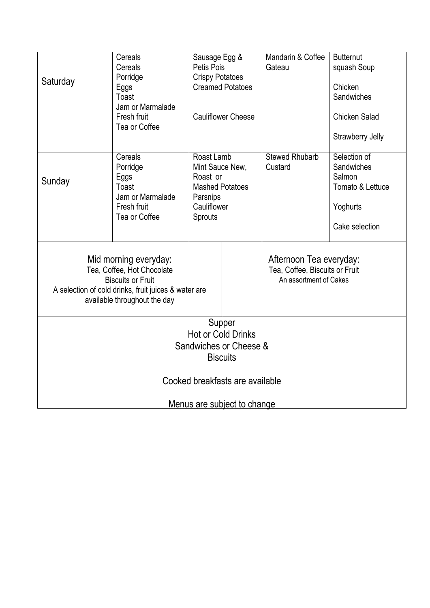| Saturday                                                                                                                                                                | Cereals<br>Cereals<br>Porridge<br>Eggs<br>Toast<br>Jam or Marmalade<br>Fresh fruit<br>Tea or Coffee | Sausage Egg &<br>Petis Pois<br><b>Crispy Potatoes</b><br><b>Creamed Potatoes</b><br><b>Cauliflower Cheese</b> |  | Mandarin & Coffee<br>Gateau                                                         | <b>Butternut</b><br>squash Soup<br>Chicken<br>Sandwiches<br><b>Chicken Salad</b><br>Strawberry Jelly |
|-------------------------------------------------------------------------------------------------------------------------------------------------------------------------|-----------------------------------------------------------------------------------------------------|---------------------------------------------------------------------------------------------------------------|--|-------------------------------------------------------------------------------------|------------------------------------------------------------------------------------------------------|
| Sunday                                                                                                                                                                  | Cereals<br>Porridge<br>Eggs<br>Toast<br>Jam or Marmalade<br>Fresh fruit<br>Tea or Coffee            | Roast Lamb<br>Mint Sauce New,<br>Roast or<br><b>Mashed Potatoes</b><br>Parsnips<br>Cauliflower<br>Sprouts     |  | <b>Stewed Rhubarb</b><br>Custard                                                    | Selection of<br>Sandwiches<br>Salmon<br>Tomato & Lettuce<br>Yoghurts<br>Cake selection               |
| Mid morning everyday:<br>Tea, Coffee, Hot Chocolate<br><b>Biscuits or Fruit</b><br>A selection of cold drinks, fruit juices & water are<br>available throughout the day |                                                                                                     |                                                                                                               |  | Afternoon Tea everyday:<br>Tea, Coffee, Biscuits or Fruit<br>An assortment of Cakes |                                                                                                      |
| Supper                                                                                                                                                                  |                                                                                                     |                                                                                                               |  |                                                                                     |                                                                                                      |
| <b>Hot or Cold Drinks</b><br>Sandwiches or Cheese &                                                                                                                     |                                                                                                     |                                                                                                               |  |                                                                                     |                                                                                                      |
| <b>Biscuits</b>                                                                                                                                                         |                                                                                                     |                                                                                                               |  |                                                                                     |                                                                                                      |
| Cooked breakfasts are available                                                                                                                                         |                                                                                                     |                                                                                                               |  |                                                                                     |                                                                                                      |
| <u>Menus are subject to change</u>                                                                                                                                      |                                                                                                     |                                                                                                               |  |                                                                                     |                                                                                                      |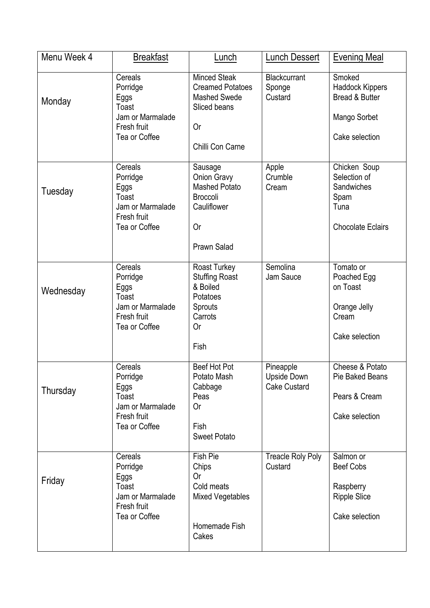| Menu Week 4 | <b>Breakfast</b>                                                                         | Lunch                                                                                                           | <b>Lunch Dessert</b>                            | <b>Evening Meal</b>                                                                             |
|-------------|------------------------------------------------------------------------------------------|-----------------------------------------------------------------------------------------------------------------|-------------------------------------------------|-------------------------------------------------------------------------------------------------|
| Monday      | Cereals<br>Porridge<br>Eggs<br>Toast<br>Jam or Marmalade<br>Fresh fruit<br>Tea or Coffee | <b>Minced Steak</b><br><b>Creamed Potatoes</b><br><b>Mashed Swede</b><br>Sliced beans<br>0r<br>Chilli Con Carne | Blackcurrant<br>Sponge<br>Custard               | Smoked<br><b>Haddock Kippers</b><br><b>Bread &amp; Butter</b><br>Mango Sorbet<br>Cake selection |
| Tuesday     | Cereals<br>Porridge<br>Eggs<br>Toast<br>Jam or Marmalade<br>Fresh fruit<br>Tea or Coffee | Sausage<br>Onion Gravy<br><b>Mashed Potato</b><br><b>Broccoli</b><br>Cauliflower<br>0r<br><b>Prawn Salad</b>    | Apple<br>Crumble<br>Cream                       | Chicken Soup<br>Selection of<br>Sandwiches<br>Spam<br>Tuna<br><b>Chocolate Eclairs</b>          |
| Wednesday   | Cereals<br>Porridge<br>Eggs<br>Toast<br>Jam or Marmalade<br>Fresh fruit<br>Tea or Coffee | Roast Turkey<br><b>Stuffing Roast</b><br>& Boiled<br>Potatoes<br><b>Sprouts</b><br>Carrots<br>0r<br>Fish        | Semolina<br>Jam Sauce                           | Tomato or<br>Poached Egg<br>on Toast<br>Orange Jelly<br>Cream<br>Cake selection                 |
| Thursday    | Cereals<br>Porridge<br>Eggs<br>Toast<br>Jam or Marmalade<br>Fresh fruit<br>Tea or Coffee | Beef Hot Pot<br>Potato Mash<br>Cabbage<br>Peas<br>0r<br>Fish<br><b>Sweet Potato</b>                             | Pineapple<br>Upside Down<br><b>Cake Custard</b> | Cheese & Potato<br>Pie Baked Beans<br>Pears & Cream<br>Cake selection                           |
| Friday      | Cereals<br>Porridge<br>Eggs<br>Toast<br>Jam or Marmalade<br>Fresh fruit<br>Tea or Coffee | Fish Pie<br>Chips<br>0r<br>Cold meats<br><b>Mixed Vegetables</b><br>Homemade Fish<br>Cakes                      | <b>Treacle Roly Poly</b><br>Custard             | Salmon or<br><b>Beef Cobs</b><br>Raspberry<br><b>Ripple Slice</b><br>Cake selection             |